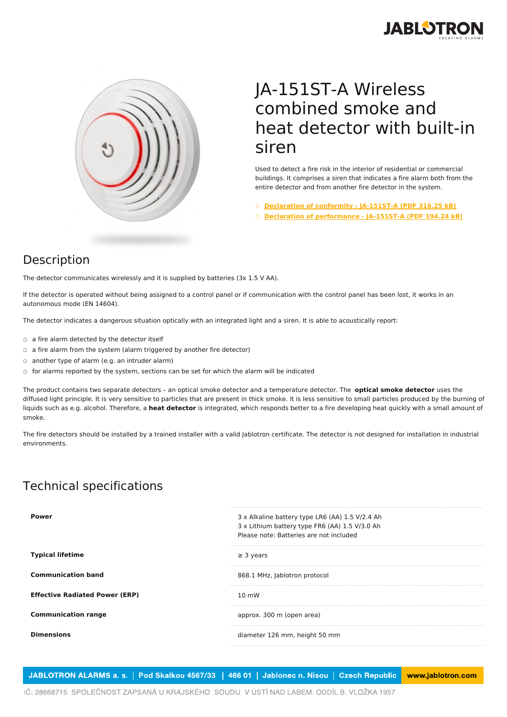



## JA-151ST-A Wireless combined smoke and heat detector with built-in siren

Used to detect a fire risk in the interior of residential or commercial buildings. It comprises a siren that indicates a fire alarm both from the entire detector and from another fire detector in the system.

- **[Declaration](https://www.jablotron.com/en/template/product/747/?file=0&jt_id=21162&hash=e5KerE&do=downloadCertificate) of conformity - JA-151ST-A (PDF 316.25 kB)**
- **Declaration of [performance](https://www.jablotron.com/en/template/product/747/?file=1&jt_id=21162&hash=e5KerE&do=downloadCertificate) - JA-151ST-A (PDF 194.24 kB)**

## Description

The detector communicates wirelessly and it is supplied by batteries (3x 1.5 V AA).

If the detector is operated without being assigned to a control panel or if communication with the control panel has been lost, it works in an autonomous mode (EN 14604).

The detector indicates a dangerous situation optically with an integrated light and a siren. It is able to acoustically report:

- a fire alarm detected by the detector itself
- a fire alarm from the system (alarm triggered by another fire detector)
- another type of alarm (e.g. an intruder alarm)
- for alarms reported by the system, sections can be set for which the alarm will be indicated

The product contains two separate detectors – an optical smoke detector and a temperature detector. The **optical smoke detector** uses the diffused light principle. It is very sensitive to particles that are present in thick smoke. It is less sensitive to small particles produced by the burning of liquids such as e.g. alcohol. Therefore, a **heat detector** is integrated, which responds better to a fire developing heat quickly with a small amount of smoke.

The fire detectors should be installed by a trained installer with a valid Jablotron certificate. The detector is not designed for installation in industrial environments.

## Technical specifications

| Power                                 | 3 x Alkaline battery type LR6 (AA) 1.5 V/2.4 Ah |
|---------------------------------------|-------------------------------------------------|
|                                       | 3 x Lithium battery type FR6 (AA) 1.5 V/3.0 Ah  |
|                                       | Please note: Batteries are not included         |
| <b>Typical lifetime</b>               | $\geq$ 3 years                                  |
| <b>Communication band</b>             | 868.1 MHz, Jablotron protocol                   |
| <b>Effective Radiated Power (ERP)</b> | $10 \text{ mW}$                                 |
| <b>Communication range</b>            | approx. 300 m (open area)                       |
| <b>Dimensions</b>                     | diameter 126 mm, height 50 mm                   |
|                                       |                                                 |

JABLOTRON ALARMS a. s. | Pod Skalkou 4567/33 | 466 01 | Jablonec n. Nisou | Czech Republic www.jablotron.com

IČ: 28668715. SPOLEČNOST ZAPSANÁ U KRAJSKÉHO SOUDU V ÚSTÍ NAD LABEM. ODDÍL B. VLOŽKA 1957